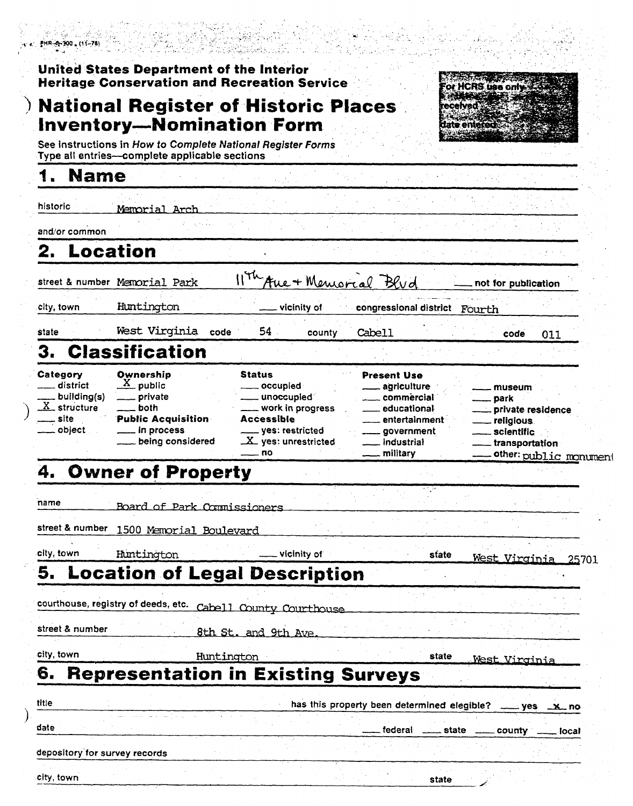| $7HR - 200$ , $(11 - 78)$ |  |  |
|---------------------------|--|--|
|                           |  |  |



 $\lambda$ 

| FHR-6-200 (11-78)                                                                                             |                                                                                                                                              |                                                                                                                                                    |                                                                                                                                           |                                                                                                                        |
|---------------------------------------------------------------------------------------------------------------|----------------------------------------------------------------------------------------------------------------------------------------------|----------------------------------------------------------------------------------------------------------------------------------------------------|-------------------------------------------------------------------------------------------------------------------------------------------|------------------------------------------------------------------------------------------------------------------------|
|                                                                                                               | United States Department of the Interior<br><b>Heritage Conservation and Recreation Service</b>                                              |                                                                                                                                                    |                                                                                                                                           | or HCRS use only.                                                                                                      |
|                                                                                                               | <b>National Register of Historic Places</b><br><b>Inventory-Nomination Form</b>                                                              |                                                                                                                                                    |                                                                                                                                           |                                                                                                                        |
|                                                                                                               | See instructions in How to Complete National Register Forms<br>Type all entries-complete applicable sections                                 |                                                                                                                                                    |                                                                                                                                           |                                                                                                                        |
| <b>Name</b>                                                                                                   |                                                                                                                                              |                                                                                                                                                    |                                                                                                                                           |                                                                                                                        |
| <b>historic</b>                                                                                               | Memorial Arch                                                                                                                                |                                                                                                                                                    |                                                                                                                                           |                                                                                                                        |
| and/or common                                                                                                 |                                                                                                                                              |                                                                                                                                                    |                                                                                                                                           |                                                                                                                        |
|                                                                                                               | .ocation                                                                                                                                     |                                                                                                                                                    |                                                                                                                                           |                                                                                                                        |
|                                                                                                               | street & number Memorial Park                                                                                                                | 11th Aue + Memorial Blud                                                                                                                           |                                                                                                                                           | not for publication                                                                                                    |
| city, town                                                                                                    | Huntington                                                                                                                                   | vicinity of                                                                                                                                        | congressional district Fourth                                                                                                             |                                                                                                                        |
| state                                                                                                         | West Virginia code                                                                                                                           | 54<br>county                                                                                                                                       | Cabell                                                                                                                                    | code<br>011                                                                                                            |
| З.                                                                                                            | <b>Classification</b>                                                                                                                        |                                                                                                                                                    |                                                                                                                                           |                                                                                                                        |
| Category<br>__ district<br>building(s)<br>$X$ structure<br>$\frac{1}{\sqrt{1-\frac{1}{2}}}$ site<br>__ object | Ownership<br>$\frac{X}{Y}$ public<br><u>Let</u> private<br><u>_</u> _both<br><b>Public Acquisition</b><br>___ in process<br>being considered | <b>Status</b><br>____ occupied<br>____ unoccupied<br>. work in progress<br><b>Accessible</b><br>____ yes: restricted<br>X_ yes: unrestricted<br>no | <b>Present Use</b><br>____ agriculture<br>commercial<br>educational<br>entertainment<br>.government<br>industrial<br><u>_</u> __ military | <u>_</u> __ museum<br><u>__</u> park<br>__ private residence<br>___ religious<br>____ scientific<br>___ transportation |
|                                                                                                               | 4. Owner of Property                                                                                                                         |                                                                                                                                                    |                                                                                                                                           | ___ other: public_monument                                                                                             |
| name                                                                                                          |                                                                                                                                              |                                                                                                                                                    |                                                                                                                                           |                                                                                                                        |
| street & number                                                                                               | Board of Park Commissioners<br>1500 Memorial Boulevard                                                                                       |                                                                                                                                                    |                                                                                                                                           |                                                                                                                        |
| city, town                                                                                                    | Huntington                                                                                                                                   | vicinity of                                                                                                                                        | state                                                                                                                                     |                                                                                                                        |
|                                                                                                               | <b>5. Location of Legal Description</b>                                                                                                      |                                                                                                                                                    |                                                                                                                                           | West Virginia 25701                                                                                                    |
|                                                                                                               | courthouse, registry of deeds, etc.                                                                                                          |                                                                                                                                                    |                                                                                                                                           |                                                                                                                        |
| street & number                                                                                               |                                                                                                                                              | Cabell County Courthouse<br>8th St. and 9th Ave.                                                                                                   |                                                                                                                                           |                                                                                                                        |
| city, town                                                                                                    |                                                                                                                                              | Huntington                                                                                                                                         | state                                                                                                                                     |                                                                                                                        |
| 6.                                                                                                            | <b>Representation in Existing Surveys</b>                                                                                                    |                                                                                                                                                    |                                                                                                                                           | West Virginia                                                                                                          |
| title                                                                                                         |                                                                                                                                              |                                                                                                                                                    | has this property been determined elegible?                                                                                               | __ yes _x_ no                                                                                                          |
| date                                                                                                          |                                                                                                                                              |                                                                                                                                                    | federal                                                                                                                                   | state _____ county ____ local                                                                                          |
| depository for survey records                                                                                 |                                                                                                                                              |                                                                                                                                                    |                                                                                                                                           |                                                                                                                        |
| city, town                                                                                                    |                                                                                                                                              |                                                                                                                                                    | state                                                                                                                                     |                                                                                                                        |
|                                                                                                               |                                                                                                                                              |                                                                                                                                                    |                                                                                                                                           |                                                                                                                        |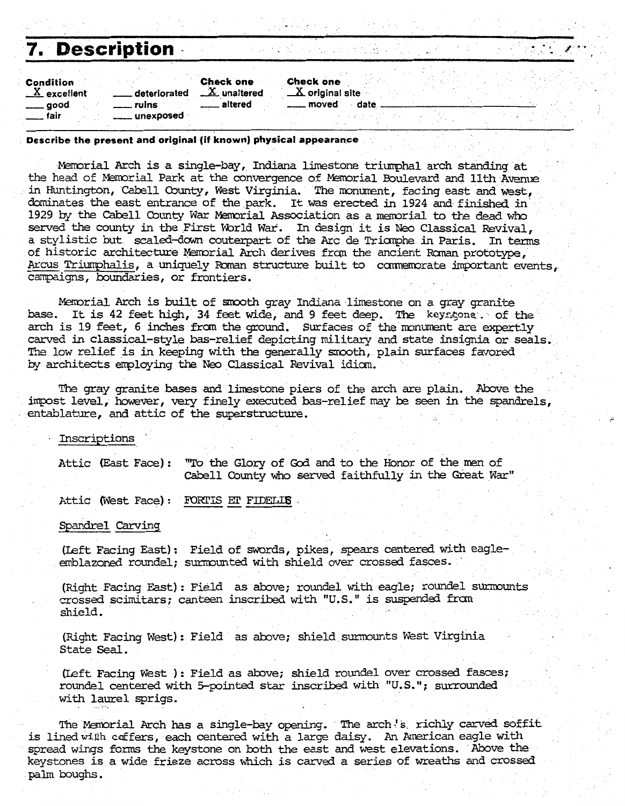| 7. Description                                            |                                  |                                      |                                                            |      |  | 20 J. A. Tall |
|-----------------------------------------------------------|----------------------------------|--------------------------------------|------------------------------------------------------------|------|--|---------------|
| Condition<br>$X$ excellent<br>. ruins<br>___ good<br>fair | <b>Check one</b><br>deteriorated | $\underline{X}$ unaltered<br>altered | <b>Check one</b><br>$\underline{X}$ original site<br>moved | date |  |               |

### **Describe the present and original (if known) physical appearance**

%mrial **Arch** is a single-bay, **Indiana** limestone triqhal arch standing at the head of Memorial Park at the convergence of Memorial Boulevard and 11th Avenue in Huntington, Cabell County, West Virginia. The monument, facing east and west, dominates the east entrance of the park. It was erected in 1924 and finished in 1929 by the Cabell County War Memorial Association as a memorial to the dead who served the county in the First World War. In design it is Neo Classical Revival, a stylistic but scaled-down couterpart of the Arc de Triomphe in Paris. In terms of historic architecture Memorial Arch derives from the ancient Roman prototype, Arcus Triumphalis, a uniquely Roman structure built to commemorate important events. campaigns, boundaries, or frontiers.

Memorial Arch is built of smooth gray Indiana limestone on a gray granite **base.** It is 42 feet high, **34** feet wide, and 9 feet **deep. The keycsone** . of the arch is 19 feet, 6 inches from the ground. Surfaces of the monument are expertly **carved** in classical-style bas-relief depicting military and state insignia **ar** seals. The low relief is in keeping with the generally smooth, plain surfaces favored by architects employing the Neo Classical Revival idiom.

The gray granite bases and limestone piers of the arch are plain. Above the impost level, howver, **very** finely executed bas-relief may be **seen** in the spandrels, entablature, and attic of the superstructure.

**Inscriptions** 

Attic (East Face): "To the Glory of God and to the Honor of the men of Cabell County who **senred** faithfully in the Great **Warw** 

Attic (West Face) : FORTIS ET FIDELIS

**Spandrel** Carving

(Left Facing East): Field of swords, pikes, spears centered with eagleemblazoned roundel; surmounted with shield over crossed fasces.

(Right Facing East): Field as above; roundel with eagle; roundel surmounts crossed scimitars; canteen inscribed with **"U.S."** is **suspended** frm shield.

(Right Facing West): Field as above; shield surmounts West Virginia State Seal.

(Left Facing West ) : Field as above; shield roundel over crossed fasces; roundel centered with 5-pointed **star inscribed** with **"U.S.";** surrounded with laurel sprigs.

The Memorial Arch has a single-bay opening. The arch's richly carved soffit is lined willh cdfers, each centered with a large daisy. **An** American eagle with spread wings forms the keystone on bth the east **and** west elevations. Above **the**  keystones is a wide frieze across which is carved a series of **wreaths and** crossed **palm** boughs.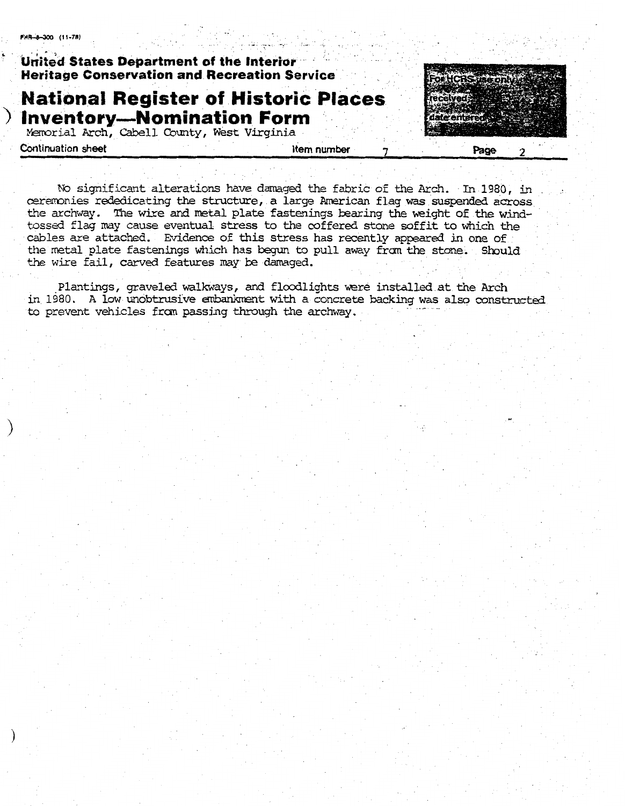## **United States Department of the Interior Heritage Conservation and Recreation Service**

## **National Register of Historic Places** ) Inventory—Nomination Form

Memorial Arch, Cabell County, West Virginia

**Continuation sheet** 

Item number

Page

No significant alterations have damaged the fabric of the Arch. In 1980, in ceremonies rededicating the structure, a large American flag was suspended across the archway. The wire and metal plate fastenings bearing the weight of the windtossed flag may cause eventual stress to the coffered stone soffit to which the cables are attached. Evidence of this stress has recently appeared in one of the metal plate fastenings which has begun to pull away from the stone. Should the wire fail, carved features may be damaged.

Plantings, graveled walkways, and floodlights were installed at the Arch in 1980. A low unobtrusive embankment with a concrete backing was also constructed to prevent vehicles from passing through the archway.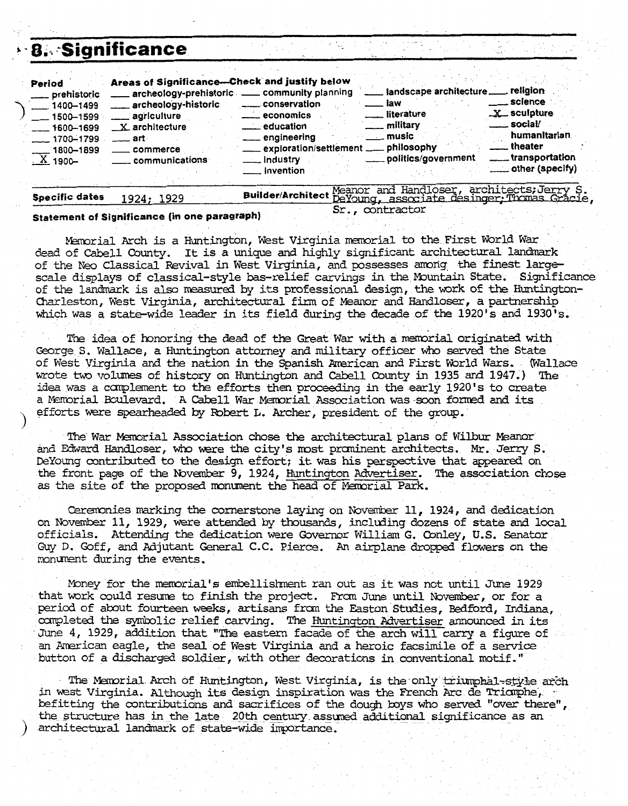|                                                                                                                                   | 8. Significance                                                                                                                                                                                      |                                                                                                                                                                                                                                                                                                                                                                                                       |
|-----------------------------------------------------------------------------------------------------------------------------------|------------------------------------------------------------------------------------------------------------------------------------------------------------------------------------------------------|-------------------------------------------------------------------------------------------------------------------------------------------------------------------------------------------------------------------------------------------------------------------------------------------------------------------------------------------------------------------------------------------------------|
| Period<br>___ prehistoric<br>$1400 - 1499$<br>$-1500 - 1599$<br>$-1600 - 1699$<br>$-1700 - 1799$<br>$\frac{1800 - 1899}{X}$ 1900- | Areas of Significance-Check and justify below<br>archeology-prehistoric __ community planning<br>archeology-historic<br>____ agriculture<br>$X$ architecture<br>— art∘<br>commerce<br>communications | landscape architecture ____ religion<br>science ___<br><b>law</b><br>conservation<br>X sculpture<br>Literature<br>___ economics<br>$\equiv$ social/<br>___ military<br><u>__</u> education<br>humanitarian<br>— music<br>____ engineering<br>theater<br>exploration/settlement __ philosophy<br>_____ transportation<br>_ politics/government<br>___ industry<br>___ other (specify)<br>___ invention |
| <b>Specific dates</b>                                                                                                             | 1924; 1929                                                                                                                                                                                           | Meanor and Handloser, architects; Jerry S.<br><b>Builder/Architect</b><br>DeYoung, associate desinger: Thomas Gracie                                                                                                                                                                                                                                                                                  |

### **Statement of Significance (in one paragraph)**

Memorial Arch is a Huntington, West Virginia memorial to the First World War dead of Cabell County. It is a unique and highly significant architectural landmark of the Neo Classical Revival in West Virginia, and possesses among the finest largescale displays of classical-style bas-relief carvings in the Mountain State. Significance of the landmark is also measured by its professional design, the work of the Huntington-Charleston, West Virginia, architectural firm of Meanor **and** Handloser, a partnership which was a state-wide leader in its field **during** the decade of the 1920's and 1930's.

Sr . , contractor

The idea of honoring the dead of the Great War with a memorial originated with George S. Wallace, a Huntington attorney **and** military officer who **served** the State of West **Virginia** and the nation in **the** Spanish Zmrican and First World **Wars,** (Wallace wrote tm volumes of history on **Huntington** and Cabell County in 1935 **and 1947.)** The idea was a complement to the efforts then proceeding in the early 1920's to create a M~ria.1 Boulevard. **A** Cabell War Memrial Association was soon fomd **and** its efforts were spearheaded by Robert L. Archer, president of the group.

The War Wmorial Association chose the architectural **plans** of **Wilbur** *&anar*  and Edward Handloser, who were the city's most prominent architects. Mr. Jerry S. DeYoung **contributed** to **the** design effort; **it** was his perspective that **wared** on the front page of the November 9, 1924, <u>Huntington Advertiser</u>. The association chose as the site of the proposed monument the head of Memorial Park.

Ceremonies marking the cornerstone laying on November 11, 1924, and dedication on Noventer 11, 1929, were **attended** by thousands, inclding dozens of state **and local**  officials. **Attending** the dedication were Governor William G. Qnley, U.S. Senator Guy D. Goff, and Adjutant General **C.C.** Pierce. **An airplane** dropped flowers on the monument during the events.

mney for the Inemrial's embellishent ran out as it was not **until** June 1929 that work could resume to finish the project. Fram June until November, or for a period of abut fourteen weeks, artisans fmn the Easton Studies, **Bedford, Indiana,**  carrpleted the symbolic relief **carving. The** Huntington Mvertiser announced in its **June** 4, 1929, addition that "The eastern facade of the arch will carry a figure of an American eagle, the seal of West Virginia and a heroic facsimile of a service button of a discharged soldier, with other decorations in conventional motif."

The Memorial Arch of Huntington, West Virginia, is the only triumphal-style arch in west Virginia. Although its design inspiration was the French Arc de Triomphe,  $\cdot$ ness virginia. Although its design inspiration was the fremen new as Irian property. the **structure**  has in the **late 20th** century ass- additional. significance as an architectural landmark of state-wide importance.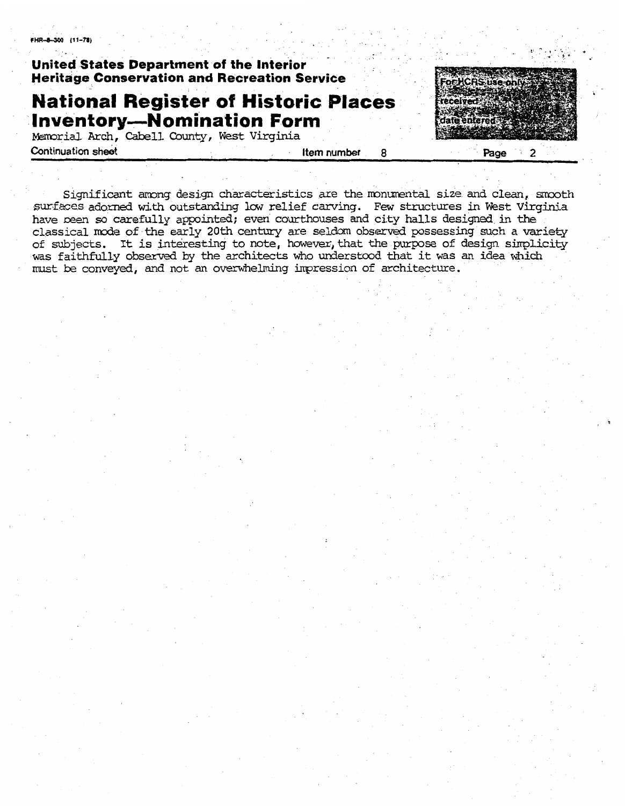FHR-8-300 (11-78)

## **United States Department of the Interior Heritage Conservation and Recreation Service**

## **National Register of Historic Places Inventory-Nomination Form**

Mzmrial Arch, Cabell **County, West** Virginia - **Continuation sheet 12 <b>Item number 8 Item number 8** 

**OFHCRS** ránon Page  $\overline{2}$ 

Significant awng design characteristics are the rronwental **size** and **clean,** smoth surfaces adorned with outstanding low relief carving. Few structures in West Virginia have reen **so carefully** appointed; even courthouses and city halls designed in **the**  classicalmde of **the** early **20th** century are seldom observed possessing such **a** wiety lassical mode of the early 20th century are seldom observed possessing such a variety<br>if subjects. It is interesting to note, however that the purpose of design simplicity **was** faithfully observed by the architects **who** understood that it **was an** idea **wfiich**  must be conveyed, and not **an** overwhelming inpression of architecture.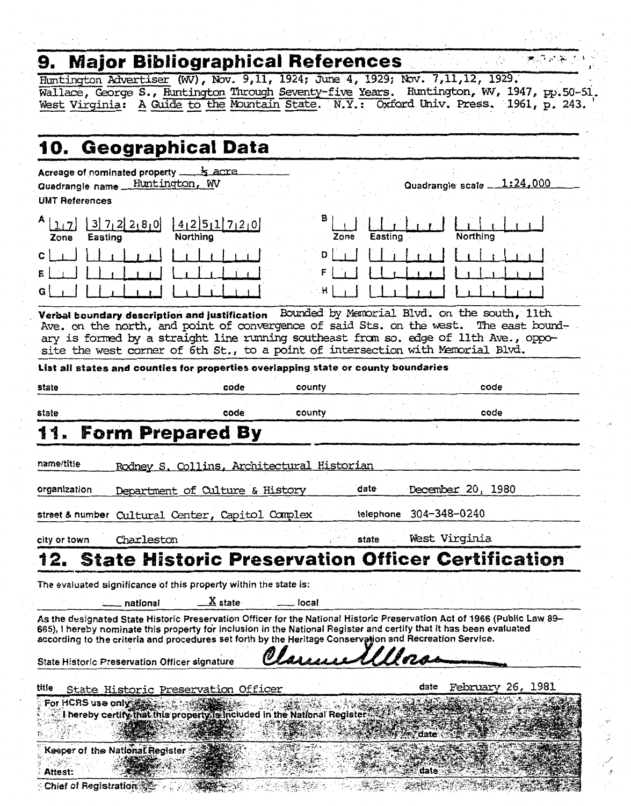# **9. Major Bibliographical References .- f** :.. + - **<sup>I</sup><sup>I</sup>**

Hmtington **miser (wV), Nov. 9,11, 1924;** JUTE **4, 1929; W. 7,11,12, 1929.'**  Wallace, George S., Huntington Through Seventy-five Years. Huntington, WV, 1947, pp.50-51. West - **Virginia:** ---- **A Guide** to **the** I4xmta.h State. N.Y. : **Word Ghiv.** Press, **1961, p, 243.** 

|                                            | 10. Geographical Data                                                              |                                |                |           |                                                                                                                                                                                                                                                                                                                                                            |  |
|--------------------------------------------|------------------------------------------------------------------------------------|--------------------------------|----------------|-----------|------------------------------------------------------------------------------------------------------------------------------------------------------------------------------------------------------------------------------------------------------------------------------------------------------------------------------------------------------------|--|
| Quadrangle name _<br><b>UMT References</b> | Acreage of nominated property<br>Huntington, WV                                    | <b>k</b> acre                  |                |           | Quadrangle scale 1:24,000                                                                                                                                                                                                                                                                                                                                  |  |
| A 112 <br>Zone<br>Easting<br>с<br>G        | 3 7 2 2 8 0 <br>Northina<br>Verbal boundary description and justification          | 412511720                      | в<br>Zone<br>D | Easting   | Northing<br>Bounded by Memorial Blvd. on the south, 11th                                                                                                                                                                                                                                                                                                   |  |
|                                            |                                                                                    |                                |                |           | Ave. on the north, and point of convergence of said Sts. on the west. The east bound-<br>ary is formed by a straight line running southeast from so. edge of 11th Ave., oppo-<br>site the west corner of 6th St., to a point of intersection with Memorial Blvd.                                                                                           |  |
| state                                      | List all states and counties for properties overlapping state or county boundaries | code                           | county         |           | code                                                                                                                                                                                                                                                                                                                                                       |  |
| state                                      |                                                                                    | code                           | county         |           | code                                                                                                                                                                                                                                                                                                                                                       |  |
|                                            | 11. Form Prepared By                                                               |                                |                |           | ٠.                                                                                                                                                                                                                                                                                                                                                         |  |
| name/title                                 | Rodney S. Collins, Architectural Historian                                         |                                |                |           |                                                                                                                                                                                                                                                                                                                                                            |  |
| organization                               | Department of Culture & History                                                    |                                |                | date      | December 20, 1980                                                                                                                                                                                                                                                                                                                                          |  |
|                                            | street&number Cultural Center, Capitol Complex                                     |                                |                | telephone | 304-348-0240                                                                                                                                                                                                                                                                                                                                               |  |
| city or town                               | Charleston                                                                         |                                |                | state     | West Virginia                                                                                                                                                                                                                                                                                                                                              |  |
| 12.                                        |                                                                                    |                                |                |           | <b>State Historic Preservation Officer Certification</b>                                                                                                                                                                                                                                                                                                   |  |
|                                            | The evaluated significance of this property within the state is:<br>national       | $\underline{\textbf{X}}$ state | local          |           |                                                                                                                                                                                                                                                                                                                                                            |  |
|                                            |                                                                                    |                                |                |           | As the designated State Historic Preservation Officer for the National Historic Preservation Act of 1966 (Public Law 89–<br>665), I hereby nominate this property for inclusion in the National Register and certify that it has been evaluated<br>according to the criteria and procedures set forth by the Heritage Conservation and Recreation Service. |  |
|                                            | State Historic Preservation Officer signature                                      |                                |                |           |                                                                                                                                                                                                                                                                                                                                                            |  |
| title                                      | State Historic Preservation Officer                                                |                                |                |           | 26,<br>1981<br>date<br>February                                                                                                                                                                                                                                                                                                                            |  |
| For HCRS use only:                         | I hereby certify that this property is included in the National Register.          |                                |                |           | date                                                                                                                                                                                                                                                                                                                                                       |  |
|                                            | Keeper of the National Register                                                    |                                |                |           | date                                                                                                                                                                                                                                                                                                                                                       |  |
| Attest:<br>Chief of Registration           |                                                                                    |                                |                |           |                                                                                                                                                                                                                                                                                                                                                            |  |

 $\mathcal{I}$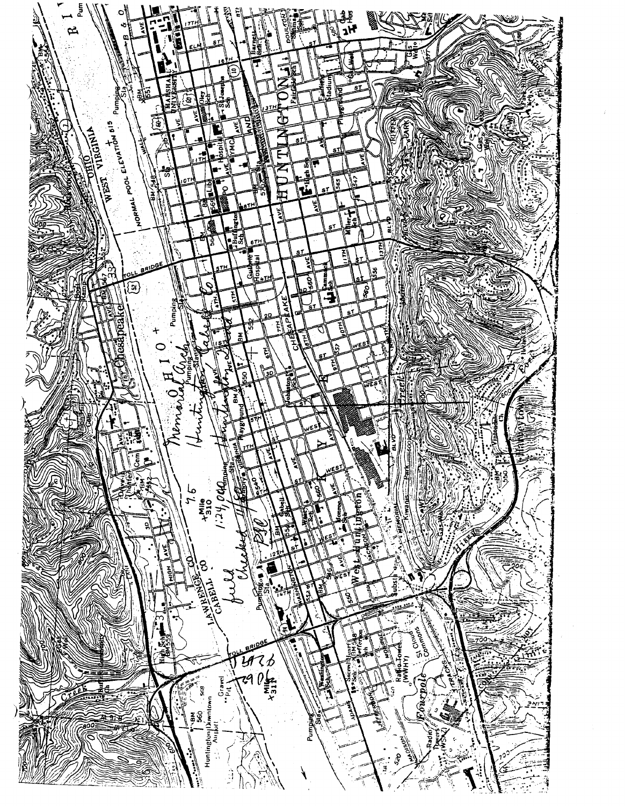